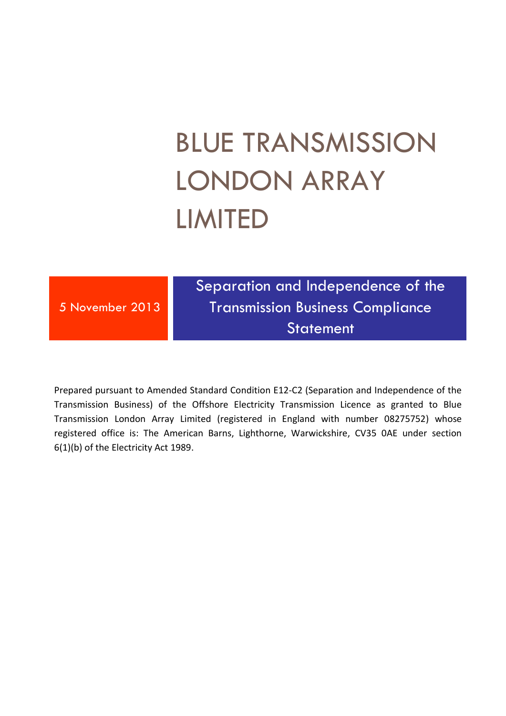# BLUE TRANSMISSION LONDON ARRAY LIMITED

5 November 2013

Separation and Independence of the Transmission Business Compliance **Statement** 

Prepared pursuant to Amended Standard Condition E12-C2 (Separation and Independence of the Transmission Business) of the Offshore Electricity Transmission Licence as granted to Blue Transmission London Array Limited (registered in England with number 08275752) whose registered office is: The American Barns, Lighthorne, Warwickshire, CV35 0AE under section 6(1)(b) of the Electricity Act 1989.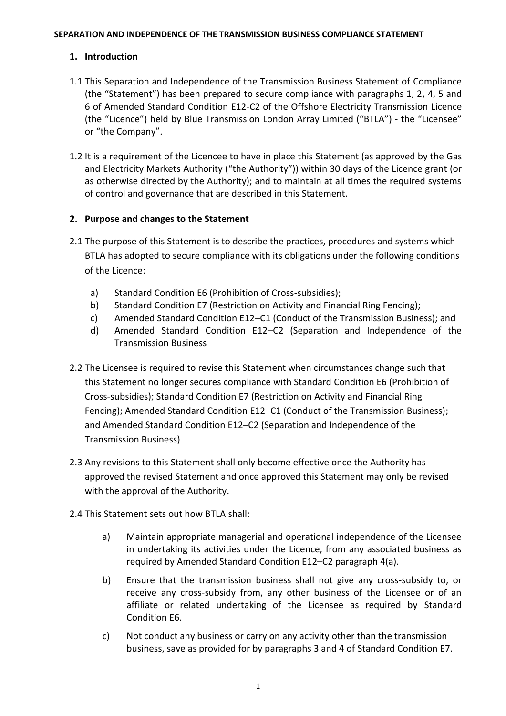#### **SEPARATION AND INDEPENDENCE OF THE TRANSMISSION BUSINESS COMPLIANCE STATEMENT**

### **1. Introduction**

- 1.1 This Separation and Independence of the Transmission Business Statement of Compliance (the "Statement") has been prepared to secure compliance with paragraphs 1, 2, 4, 5 and 6 of Amended Standard Condition E12-C2 of the Offshore Electricity Transmission Licence (the "Licence") held by Blue Transmission London Array Limited ("BTLA") - the "Licensee" or "the Company".
- 1.2 It is a requirement of the Licencee to have in place this Statement (as approved by the Gas and Electricity Markets Authority ("the Authority")) within 30 days of the Licence grant (or as otherwise directed by the Authority); and to maintain at all times the required systems of control and governance that are described in this Statement.

### **2. Purpose and changes to the Statement**

- <span id="page-1-0"></span>2.1 The purpose of this Statement is to describe the practices, procedures and systems which BTLA has adopted to secure compliance with its obligations under the following conditions of the Licence:
	- a) Standard Condition E6 (Prohibition of Cross-subsidies);
	- b) Standard Condition E7 (Restriction on Activity and Financial Ring Fencing);
	- c) Amended Standard Condition E12–C1 (Conduct of the Transmission Business); and
	- d) Amended Standard Condition E12–C2 (Separation and Independence of the Transmission Business
- 2.2 The Licensee is required to revise this Statement when circumstances change such that this Statement no longer secures compliance with Standard Condition E6 (Prohibition of Cross-subsidies); Standard Condition E7 (Restriction on Activity and Financial Ring Fencing); Amended Standard Condition E12–C1 (Conduct of the Transmission Business); and Amended Standard Condition E12–C2 (Separation and Independence of the Transmission Business)
- 2.3 Any revisions to this Statement shall only become effective once the Authority has approved the revised Statement and once approved this Statement may only be revised with the approval of the Authority.
- 2.4 This Statement sets out how BTLA shall:
	- a) Maintain appropriate managerial and operational independence of the Licensee in undertaking its activities under the Licence, from any associated business as required by Amended Standard Condition E12–C2 paragraph 4(a).
	- b) Ensure that the transmission business shall not give any cross-subsidy to, or receive any cross-subsidy from, any other business of the Licensee or of an affiliate or related undertaking of the Licensee as required by Standard Condition E6.
	- c) Not conduct any business or carry on any activity other than the transmission business, save as provided for by paragraphs 3 and 4 of Standard Condition E7.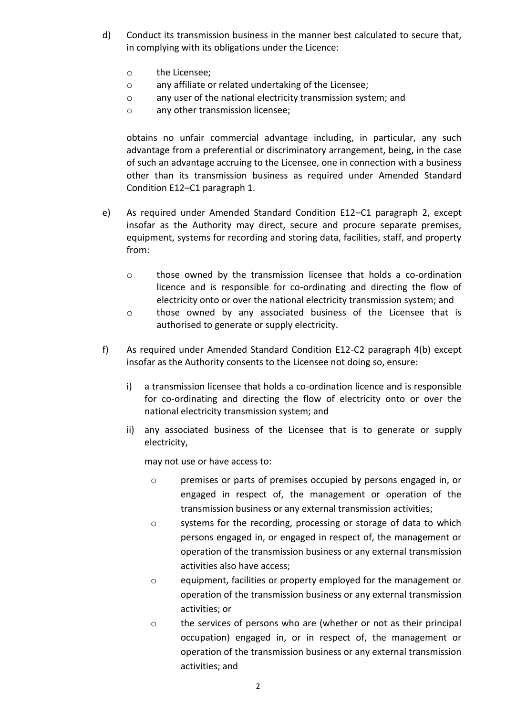- d) Conduct its transmission business in the manner best calculated to secure that, in complying with its obligations under the Licence:
	- o the Licensee;
	- o any affiliate or related undertaking of the Licensee;
	- o any user of the national electricity transmission system; and
	- o any other transmission licensee;

obtains no unfair commercial advantage including, in particular, any such advantage from a preferential or discriminatory arrangement, being, in the case of such an advantage accruing to the Licensee, one in connection with a business other than its transmission business as required under Amended Standard Condition E12–C1 paragraph 1.

- e) As required under Amended Standard Condition E12–C1 paragraph 2, except insofar as the Authority may direct, secure and procure separate premises, equipment, systems for recording and storing data, facilities, staff, and property from:
	- o those owned by the transmission licensee that holds a co-ordination licence and is responsible for co-ordinating and directing the flow of electricity onto or over the national electricity transmission system; and
	- o those owned by any associated business of the Licensee that is authorised to generate or supply electricity.
- <span id="page-2-0"></span>f) As required under Amended Standard Condition E12-C2 paragraph 4(b) except insofar as the Authority consents to the Licensee not doing so, ensure:
	- i) a transmission licensee that holds a co-ordination licence and is responsible for co-ordinating and directing the flow of electricity onto or over the national electricity transmission system; and
	- ii) any associated business of the Licensee that is to generate or supply electricity,

may not use or have access to:

- o premises or parts of premises occupied by persons engaged in, or engaged in respect of, the management or operation of the transmission business or any external transmission activities;
- $\circ$  systems for the recording, processing or storage of data to which persons engaged in, or engaged in respect of, the management or operation of the transmission business or any external transmission activities also have access;
- o equipment, facilities or property employed for the management or operation of the transmission business or any external transmission activities; or
- o the services of persons who are (whether or not as their principal occupation) engaged in, or in respect of, the management or operation of the transmission business or any external transmission activities; and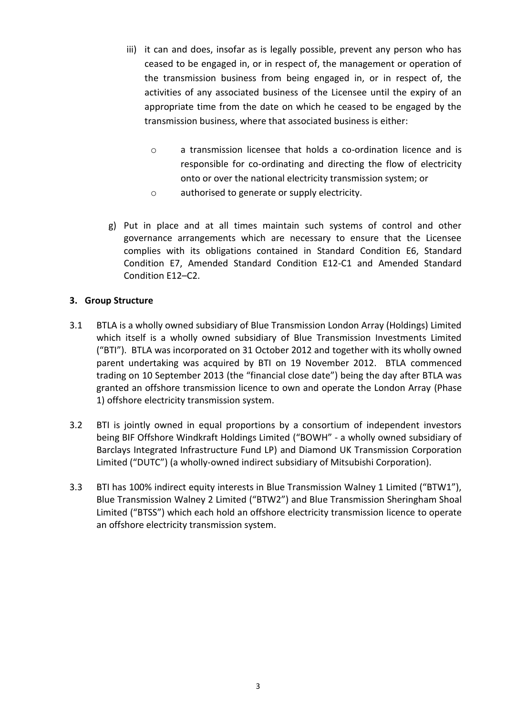- iii) it can and does, insofar as is legally possible, prevent any person who has ceased to be engaged in, or in respect of, the management or operation of the transmission business from being engaged in, or in respect of, the activities of any associated business of the Licensee until the expiry of an appropriate time from the date on which he ceased to be engaged by the transmission business, where that associated business is either:
	- o a transmission licensee that holds a co-ordination licence and is responsible for co-ordinating and directing the flow of electricity onto or over the national electricity transmission system; or
	- o authorised to generate or supply electricity.
- g) Put in place and at all times maintain such systems of control and other governance arrangements which are necessary to ensure that the Licensee complies with its obligations contained in Standard Condition E6, Standard Condition E7, Amended Standard Condition E12-C1 and Amended Standard Condition E12–C2.

### **3. Group Structure**

- 3.1 BTLA is a wholly owned subsidiary of Blue Transmission London Array (Holdings) Limited which itself is a wholly owned subsidiary of Blue Transmission Investments Limited ("BTI"). BTLA was incorporated on 31 October 2012 and together with its wholly owned parent undertaking was acquired by BTI on 19 November 2012. BTLA commenced trading on 10 September 2013 (the "financial close date") being the day after BTLA was granted an offshore transmission licence to own and operate the London Array (Phase 1) offshore electricity transmission system.
- 3.2 BTI is jointly owned in equal proportions by a consortium of independent investors being BIF Offshore Windkraft Holdings Limited ("BOWH" - a wholly owned subsidiary of Barclays Integrated Infrastructure Fund LP) and Diamond UK Transmission Corporation Limited ("DUTC") (a wholly-owned indirect subsidiary of Mitsubishi Corporation).
- 3.3 BTI has 100% indirect equity interests in Blue Transmission Walney 1 Limited ("BTW1"), Blue Transmission Walney 2 Limited ("BTW2") and Blue Transmission Sheringham Shoal Limited ("BTSS") which each hold an offshore electricity transmission licence to operate an offshore electricity transmission system.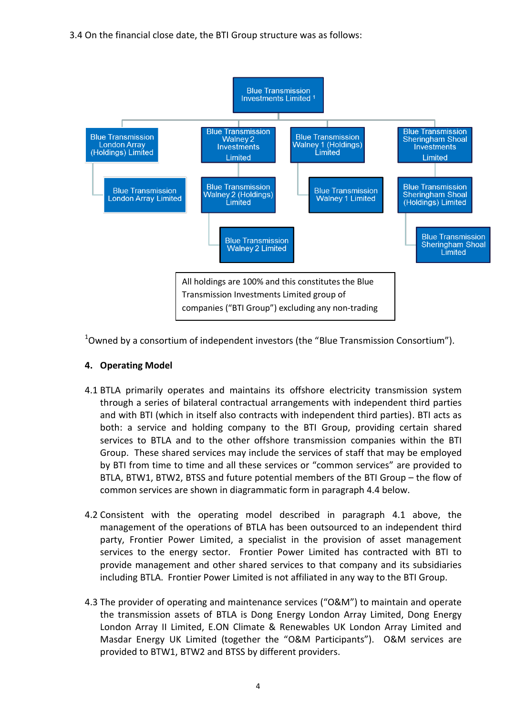

 $1$ Owned by a consortium of independent investors (the "Blue Transmission Consortium").

### **4. Operating Model**

- <span id="page-4-0"></span>4.1 BTLA primarily operates and maintains its offshore electricity transmission system through a series of bilateral contractual arrangements with independent third parties and with BTI (which in itself also contracts with independent third parties). BTI acts as both: a service and holding company to the BTI Group, providing certain shared services to BTLA and to the other offshore transmission companies within the BTI Group. These shared services may include the services of staff that may be employed by BTI from time to time and all these services or "common services" are provided to BTLA, BTW1, BTW2, BTSS and future potential members of the BTI Group – the flow of common services are shown in diagrammatic form in paragraph [4.4](#page-5-0) below.
- <span id="page-4-1"></span>4.2 Consistent with the operating model described in paragraph [4.1](#page-4-0) above, the management of the operations of BTLA has been outsourced to an independent third party, Frontier Power Limited, a specialist in the provision of asset management services to the energy sector. Frontier Power Limited has contracted with BTI to provide management and other shared services to that company and its subsidiaries including BTLA. Frontier Power Limited is not affiliated in any way to the BTI Group.
- 4.3 The provider of operating and maintenance services ("O&M") to maintain and operate the transmission assets of BTLA is Dong Energy London Array Limited, Dong Energy London Array II Limited, E.ON Climate & Renewables UK London Array Limited and Masdar Energy UK Limited (together the "O&M Participants"). O&M services are provided to BTW1, BTW2 and BTSS by different providers.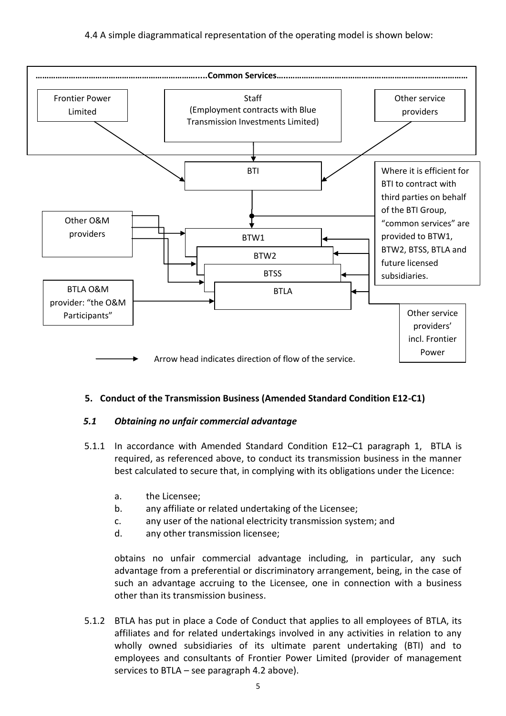<span id="page-5-0"></span>

### **5. Conduct of the Transmission Business (Amended Standard Condition E12-C1)**

### *5.1 Obtaining no unfair commercial advantage*

- 5.1.1 In accordance with Amended Standard Condition E12–C1 paragraph 1, BTLA is required, as referenced above, to conduct its transmission business in the manner best calculated to secure that, in complying with its obligations under the Licence:
	- a. the Licensee;
	- b. any affiliate or related undertaking of the Licensee;
	- c. any user of the national electricity transmission system; and
	- d. any other transmission licensee;

obtains no unfair commercial advantage including, in particular, any such advantage from a preferential or discriminatory arrangement, being, in the case of such an advantage accruing to the Licensee, one in connection with a business other than its transmission business.

5.1.2 BTLA has put in place a Code of Conduct that applies to all employees of BTLA, its affiliates and for related undertakings involved in any activities in relation to any wholly owned subsidiaries of its ultimate parent undertaking (BTI) and to employees and consultants of Frontier Power Limited (provider of management services to BTLA – see paragraph [4.2](#page-4-1) above).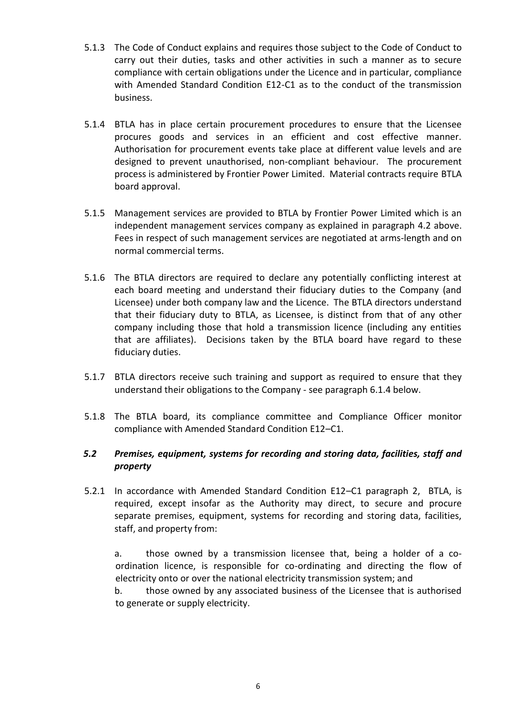- 5.1.3 The Code of Conduct explains and requires those subject to the Code of Conduct to carry out their duties, tasks and other activities in such a manner as to secure compliance with certain obligations under the Licence and in particular, compliance with Amended Standard Condition E12-C1 as to the conduct of the transmission business.
- 5.1.4 BTLA has in place certain procurement procedures to ensure that the Licensee procures goods and services in an efficient and cost effective manner. Authorisation for procurement events take place at different value levels and are designed to prevent unauthorised, non-compliant behaviour. The procurement process is administered by Frontier Power Limited. Material contracts require BTLA board approval.
- 5.1.5 Management services are provided to BTLA by Frontier Power Limited which is an independent management services company as explained in paragraph [4.2](#page-4-1) above. Fees in respect of such management services are negotiated at arms-length and on normal commercial terms.
- 5.1.6 The BTLA directors are required to declare any potentially conflicting interest at each board meeting and understand their fiduciary duties to the Company (and Licensee) under both company law and the Licence. The BTLA directors understand that their fiduciary duty to BTLA, as Licensee, is distinct from that of any other company including those that hold a transmission licence (including any entities that are affiliates). Decisions taken by the BTLA board have regard to these fiduciary duties.
- 5.1.7 BTLA directors receive such training and support as required to ensure that they understand their obligations to the Company - see paragraph [6.1.4](#page-8-0) below.
- 5.1.8 The BTLA board, its compliance committee and Compliance Officer monitor compliance with Amended Standard Condition E12–C1.

### *5.2 Premises, equipment, systems for recording and storing data, facilities, staff and property*

5.2.1 In accordance with Amended Standard Condition E12–C1 paragraph 2, BTLA, is required, except insofar as the Authority may direct, to secure and procure separate premises, equipment, systems for recording and storing data, facilities, staff, and property from:

a. those owned by a transmission licensee that, being a holder of a coordination licence, is responsible for co-ordinating and directing the flow of electricity onto or over the national electricity transmission system; and

b. those owned by any associated business of the Licensee that is authorised to generate or supply electricity.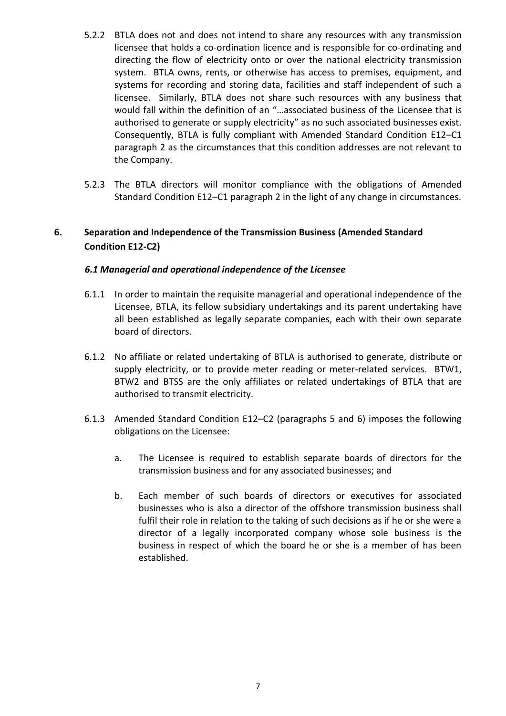- 5.2.2 BTLA does not and does not intend to share any resources with any transmission licensee that holds a co-ordination licence and is responsible for co-ordinating and directing the flow of electricity onto or over the national electricity transmission system. BTLA owns, rents, or otherwise has access to premises, equipment, and systems for recording and storing data, facilities and staff independent of such a licensee. Similarly, BTLA does not share such resources with any business that would fall within the definition of an "…associated business of the Licensee that is authorised to generate or supply electricity" as no such associated businesses exist. Consequently, BTLA is fully compliant with Amended Standard Condition E12–C1 paragraph 2 as the circumstances that this condition addresses are not relevant to the Company.
- 5.2.3 The BTLA directors will monitor compliance with the obligations of Amended Standard Condition E12–C1 paragraph 2 in the light of any change in circumstances.

### **6. Separation and Independence of the Transmission Business (Amended Standard Condition E12-C2)**

### *6.1 Managerial and operational independence of the Licensee*

- 6.1.1 In order to maintain the requisite managerial and operational independence of the Licensee, BTLA, its fellow subsidiary undertakings and its parent undertaking have all been established as legally separate companies, each with their own separate board of directors.
- 6.1.2 No affiliate or related undertaking of BTLA is authorised to generate, distribute or supply electricity, or to provide meter reading or meter-related services. BTW1, BTW2 and BTSS are the only affiliates or related undertakings of BTLA that are authorised to transmit electricity.
- 6.1.3 Amended Standard Condition E12–C2 (paragraphs 5 and 6) imposes the following obligations on the Licensee:
	- a. The Licensee is required to establish separate boards of directors for the transmission business and for any associated businesses; and
	- b. Each member of such boards of directors or executives for associated businesses who is also a director of the offshore transmission business shall fulfil their role in relation to the taking of such decisions as if he or she were a director of a legally incorporated company whose sole business is the business in respect of which the board he or she is a member of has been established.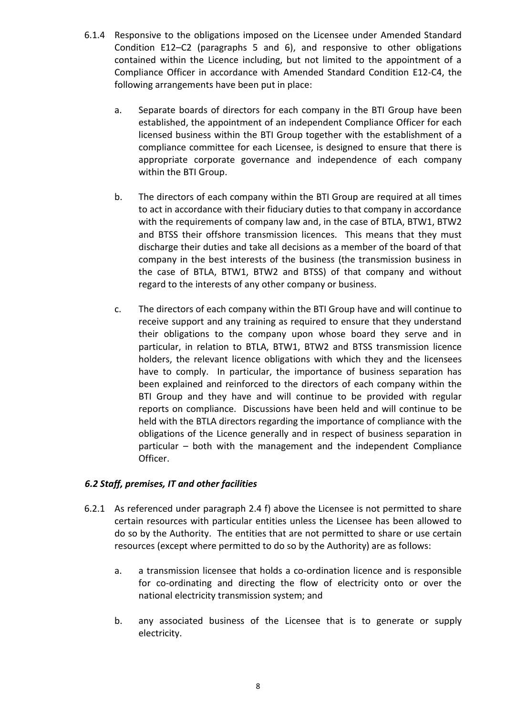- <span id="page-8-0"></span>6.1.4 Responsive to the obligations imposed on the Licensee under Amended Standard Condition E12–C2 (paragraphs 5 and 6), and responsive to other obligations contained within the Licence including, but not limited to the appointment of a Compliance Officer in accordance with Amended Standard Condition E12-C4, the following arrangements have been put in place:
	- a. Separate boards of directors for each company in the BTI Group have been established, the appointment of an independent Compliance Officer for each licensed business within the BTI Group together with the establishment of a compliance committee for each Licensee, is designed to ensure that there is appropriate corporate governance and independence of each company within the BTI Group.
	- b. The directors of each company within the BTI Group are required at all times to act in accordance with their fiduciary duties to that company in accordance with the requirements of company law and, in the case of BTLA, BTW1, BTW2 and BTSS their offshore transmission licences. This means that they must discharge their duties and take all decisions as a member of the board of that company in the best interests of the business (the transmission business in the case of BTLA, BTW1, BTW2 and BTSS) of that company and without regard to the interests of any other company or business.
	- c. The directors of each company within the BTI Group have and will continue to receive support and any training as required to ensure that they understand their obligations to the company upon whose board they serve and in particular, in relation to BTLA, BTW1, BTW2 and BTSS transmission licence holders, the relevant licence obligations with which they and the licensees have to comply. In particular, the importance of business separation has been explained and reinforced to the directors of each company within the BTI Group and they have and will continue to be provided with regular reports on compliance. Discussions have been held and will continue to be held with the BTLA directors regarding the importance of compliance with the obligations of the Licence generally and in respect of business separation in particular – both with the management and the independent Compliance Officer.

### *6.2 Staff, premises, IT and other facilities*

- <span id="page-8-1"></span>6.2.1 As referenced under paragraph 2.4 [f\)](#page-2-0) above the Licensee is not permitted to share certain resources with particular entities unless the Licensee has been allowed to do so by the Authority. The entities that are not permitted to share or use certain resources (except where permitted to do so by the Authority) are as follows:
	- a. a transmission licensee that holds a co-ordination licence and is responsible for co-ordinating and directing the flow of electricity onto or over the national electricity transmission system; and
	- b. any associated business of the Licensee that is to generate or supply electricity.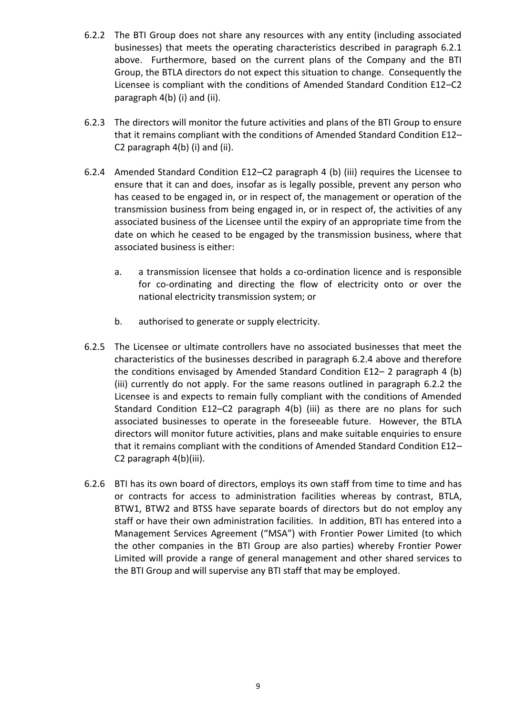- <span id="page-9-1"></span>6.2.2 The BTI Group does not share any resources with any entity (including associated businesses) that meets the operating characteristics described in paragraph [6.2.1](#page-8-1) above. Furthermore, based on the current plans of the Company and the BTI Group, the BTLA directors do not expect this situation to change. Consequently the Licensee is compliant with the conditions of Amended Standard Condition E12–C2 paragraph 4(b) (i) and (ii).
- 6.2.3 The directors will monitor the future activities and plans of the BTI Group to ensure that it remains compliant with the conditions of Amended Standard Condition E12– C2 paragraph 4(b) (i) and (ii).
- <span id="page-9-0"></span>6.2.4 Amended Standard Condition E12–C2 paragraph 4 (b) (iii) requires the Licensee to ensure that it can and does, insofar as is legally possible, prevent any person who has ceased to be engaged in, or in respect of, the management or operation of the transmission business from being engaged in, or in respect of, the activities of any associated business of the Licensee until the expiry of an appropriate time from the date on which he ceased to be engaged by the transmission business, where that associated business is either:
	- a. a transmission licensee that holds a co-ordination licence and is responsible for co-ordinating and directing the flow of electricity onto or over the national electricity transmission system; or
	- b. authorised to generate or supply electricity.
- 6.2.5 The Licensee or ultimate controllers have no associated businesses that meet the characteristics of the businesses described in paragraph [6.2.4](#page-9-0) above and therefore the conditions envisaged by Amended Standard Condition E12– 2 paragraph 4 (b) (iii) currently do not apply. For the same reasons outlined in paragraph [6.2.2](#page-9-1) the Licensee is and expects to remain fully compliant with the conditions of Amended Standard Condition E12–C2 paragraph 4(b) (iii) as there are no plans for such associated businesses to operate in the foreseeable future. However, the BTLA directors will monitor future activities, plans and make suitable enquiries to ensure that it remains compliant with the conditions of Amended Standard Condition E12– C2 paragraph 4(b)(iii).
- 6.2.6 BTI has its own board of directors, employs its own staff from time to time and has or contracts for access to administration facilities whereas by contrast, BTLA, BTW1, BTW2 and BTSS have separate boards of directors but do not employ any staff or have their own administration facilities. In addition, BTI has entered into a Management Services Agreement ("MSA") with Frontier Power Limited (to which the other companies in the BTI Group are also parties) whereby Frontier Power Limited will provide a range of general management and other shared services to the BTI Group and will supervise any BTI staff that may be employed.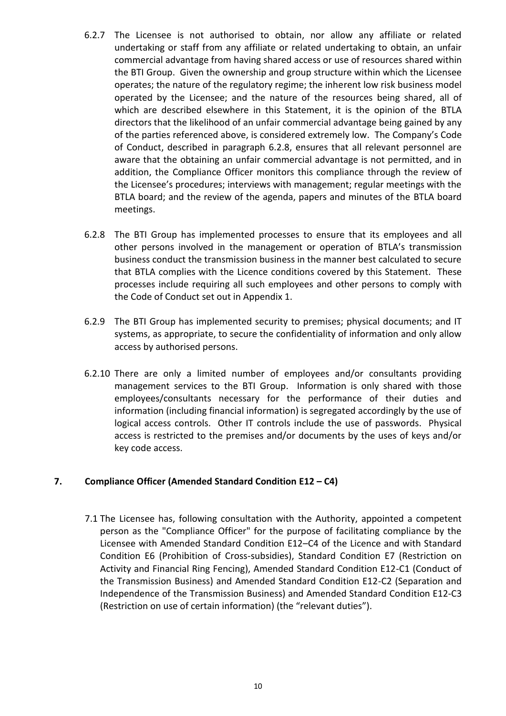- 6.2.7 The Licensee is not authorised to obtain, nor allow any affiliate or related undertaking or staff from any affiliate or related undertaking to obtain, an unfair commercial advantage from having shared access or use of resources shared within the BTI Group. Given the ownership and group structure within which the Licensee operates; the nature of the regulatory regime; the inherent low risk business model operated by the Licensee; and the nature of the resources being shared, all of which are described elsewhere in this Statement, it is the opinion of the BTLA directors that the likelihood of an unfair commercial advantage being gained by any of the parties referenced above, is considered extremely low. The Company's Code of Conduct, described in paragraph [6.2.8,](#page-10-0) ensures that all relevant personnel are aware that the obtaining an unfair commercial advantage is not permitted, and in addition, the Compliance Officer monitors this compliance through the review of the Licensee's procedures; interviews with management; regular meetings with the BTLA board; and the review of the agenda, papers and minutes of the BTLA board meetings.
- <span id="page-10-0"></span>6.2.8 The BTI Group has implemented processes to ensure that its employees and all other persons involved in the management or operation of BTLA's transmission business conduct the transmission business in the manner best calculated to secure that BTLA complies with the Licence conditions covered by this Statement. These processes include requiring all such employees and other persons to comply with the Code of Conduct set out in Appendix 1.
- 6.2.9 The BTI Group has implemented security to premises; physical documents; and IT systems, as appropriate, to secure the confidentiality of information and only allow access by authorised persons.
- 6.2.10 There are only a limited number of employees and/or consultants providing management services to the BTI Group. Information is only shared with those employees/consultants necessary for the performance of their duties and information (including financial information) is segregated accordingly by the use of logical access controls. Other IT controls include the use of passwords. Physical access is restricted to the premises and/or documents by the uses of keys and/or key code access.

### **7. Compliance Officer (Amended Standard Condition E12 – C4)**

7.1 The Licensee has, following consultation with the Authority, appointed a competent person as the "Compliance Officer" for the purpose of facilitating compliance by the Licensee with Amended Standard Condition E12–C4 of the Licence and with Standard Condition E6 (Prohibition of Cross-subsidies), Standard Condition E7 (Restriction on Activity and Financial Ring Fencing), Amended Standard Condition E12-C1 (Conduct of the Transmission Business) and Amended Standard Condition E12-C2 (Separation and Independence of the Transmission Business) and Amended Standard Condition E12-C3 (Restriction on use of certain information) (the "relevant duties").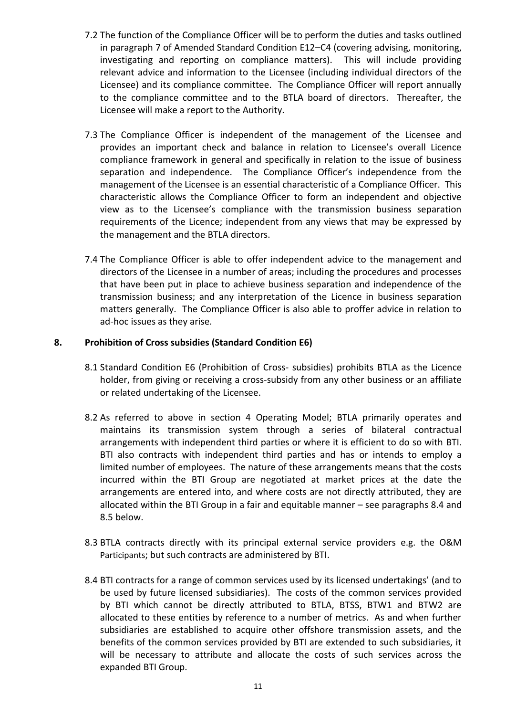- 7.2 The function of the Compliance Officer will be to perform the duties and tasks outlined in paragraph 7 of Amended Standard Condition E12–C4 (covering advising, monitoring, investigating and reporting on compliance matters). This will include providing relevant advice and information to the Licensee (including individual directors of the Licensee) and its compliance committee. The Compliance Officer will report annually to the compliance committee and to the BTLA board of directors. Thereafter, the Licensee will make a report to the Authority.
- 7.3 The Compliance Officer is independent of the management of the Licensee and provides an important check and balance in relation to Licensee's overall Licence compliance framework in general and specifically in relation to the issue of business separation and independence. The Compliance Officer's independence from the management of the Licensee is an essential characteristic of a Compliance Officer. This characteristic allows the Compliance Officer to form an independent and objective view as to the Licensee's compliance with the transmission business separation requirements of the Licence; independent from any views that may be expressed by the management and the BTLA directors.
- 7.4 The Compliance Officer is able to offer independent advice to the management and directors of the Licensee in a number of areas; including the procedures and processes that have been put in place to achieve business separation and independence of the transmission business; and any interpretation of the Licence in business separation matters generally. The Compliance Officer is also able to proffer advice in relation to ad-hoc issues as they arise.

### **8. Prohibition of Cross subsidies (Standard Condition E6)**

- 8.1 Standard Condition E6 (Prohibition of Cross- subsidies) prohibits BTLA as the Licence holder, from giving or receiving a cross-subsidy from any other business or an affiliate or related undertaking of the Licensee.
- 8.2 As referred to above in section 4 Operating Model; BTLA primarily operates and maintains its transmission system through a series of bilateral contractual arrangements with independent third parties or where it is efficient to do so with BTI. BTI also contracts with independent third parties and has or intends to employ a limited number of employees. The nature of these arrangements means that the costs incurred within the BTI Group are negotiated at market prices at the date the arrangements are entered into, and where costs are not directly attributed, they are allocated within the BTI Group in a fair and equitable manner – see paragraphs [8.4](#page-11-0) and [8.5](#page-12-0) below.
- 8.3 BTLA contracts directly with its principal external service providers e.g. the O&M Participants; but such contracts are administered by BTI.
- <span id="page-11-0"></span>8.4 BTI contracts for a range of common services used by its licensed undertakings' (and to be used by future licensed subsidiaries). The costs of the common services provided by BTI which cannot be directly attributed to BTLA, BTSS, BTW1 and BTW2 are allocated to these entities by reference to a number of metrics. As and when further subsidiaries are established to acquire other offshore transmission assets, and the benefits of the common services provided by BTI are extended to such subsidiaries, it will be necessary to attribute and allocate the costs of such services across the expanded BTI Group.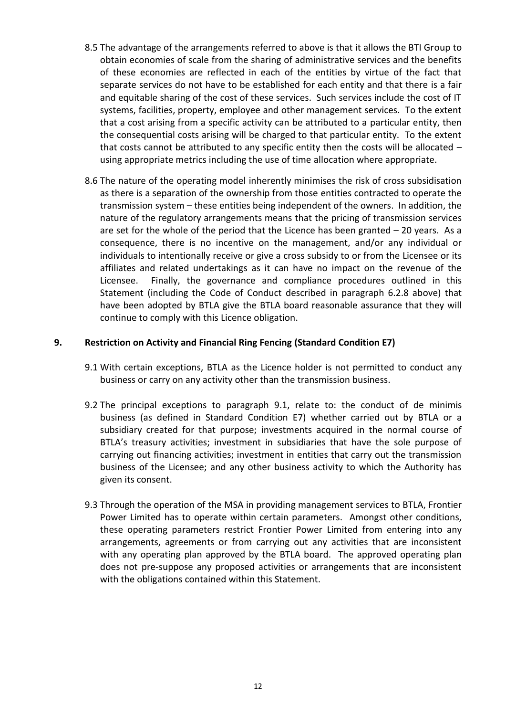- <span id="page-12-0"></span>8.5 The advantage of the arrangements referred to above is that it allows the BTI Group to obtain economies of scale from the sharing of administrative services and the benefits of these economies are reflected in each of the entities by virtue of the fact that separate services do not have to be established for each entity and that there is a fair and equitable sharing of the cost of these services. Such services include the cost of IT systems, facilities, property, employee and other management services. To the extent that a cost arising from a specific activity can be attributed to a particular entity, then the consequential costs arising will be charged to that particular entity. To the extent that costs cannot be attributed to any specific entity then the costs will be allocated – using appropriate metrics including the use of time allocation where appropriate.
- 8.6 The nature of the operating model inherently minimises the risk of cross subsidisation as there is a separation of the ownership from those entities contracted to operate the transmission system – these entities being independent of the owners. In addition, the nature of the regulatory arrangements means that the pricing of transmission services are set for the whole of the period that the Licence has been granted  $-20$  years. As a consequence, there is no incentive on the management, and/or any individual or individuals to intentionally receive or give a cross subsidy to or from the Licensee or its affiliates and related undertakings as it can have no impact on the revenue of the Licensee. Finally, the governance and compliance procedures outlined in this Statement (including the Code of Conduct described in paragraph [6.2.8](#page-10-0) above) that have been adopted by BTLA give the BTLA board reasonable assurance that they will continue to comply with this Licence obligation.

### <span id="page-12-1"></span>**9. Restriction on Activity and Financial Ring Fencing (Standard Condition E7)**

- 9.1 With certain exceptions, BTLA as the Licence holder is not permitted to conduct any business or carry on any activity other than the transmission business.
- <span id="page-12-2"></span>9.2 The principal exceptions to paragraph [9.1,](#page-12-1) relate to: the conduct of de minimis business (as defined in Standard Condition E7) whether carried out by BTLA or a subsidiary created for that purpose; investments acquired in the normal course of BTLA's treasury activities; investment in subsidiaries that have the sole purpose of carrying out financing activities; investment in entities that carry out the transmission business of the Licensee; and any other business activity to which the Authority has given its consent.
- 9.3 Through the operation of the MSA in providing management services to BTLA, Frontier Power Limited has to operate within certain parameters. Amongst other conditions, these operating parameters restrict Frontier Power Limited from entering into any arrangements, agreements or from carrying out any activities that are inconsistent with any operating plan approved by the BTLA board. The approved operating plan does not pre-suppose any proposed activities or arrangements that are inconsistent with the obligations contained within this Statement.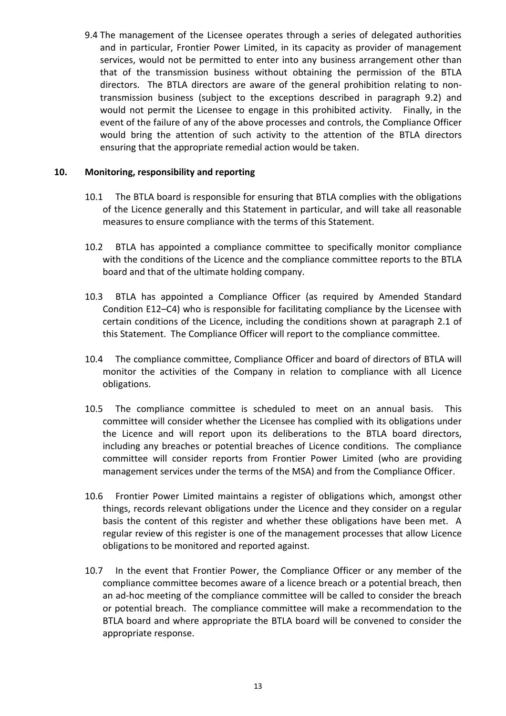9.4 The management of the Licensee operates through a series of delegated authorities and in particular, Frontier Power Limited, in its capacity as provider of management services, would not be permitted to enter into any business arrangement other than that of the transmission business without obtaining the permission of the BTLA directors. The BTLA directors are aware of the general prohibition relating to nontransmission business (subject to the exceptions described in paragraph [9.2\)](#page-12-2) and would not permit the Licensee to engage in this prohibited activity. Finally, in the event of the failure of any of the above processes and controls, the Compliance Officer would bring the attention of such activity to the attention of the BTLA directors ensuring that the appropriate remedial action would be taken.

### **10. Monitoring, responsibility and reporting**

- 10.1 The BTLA board is responsible for ensuring that BTLA complies with the obligations of the Licence generally and this Statement in particular, and will take all reasonable measures to ensure compliance with the terms of this Statement.
- 10.2 BTLA has appointed a compliance committee to specifically monitor compliance with the conditions of the Licence and the compliance committee reports to the BTLA board and that of the ultimate holding company.
- 10.3 BTLA has appointed a Compliance Officer (as required by Amended Standard Condition E12–C4) who is responsible for facilitating compliance by the Licensee with certain conditions of the Licence, including the conditions shown at paragraph [2.1](#page-1-0) of this Statement. The Compliance Officer will report to the compliance committee.
- 10.4 The compliance committee, Compliance Officer and board of directors of BTLA will monitor the activities of the Company in relation to compliance with all Licence obligations.
- 10.5 The compliance committee is scheduled to meet on an annual basis. This committee will consider whether the Licensee has complied with its obligations under the Licence and will report upon its deliberations to the BTLA board directors, including any breaches or potential breaches of Licence conditions. The compliance committee will consider reports from Frontier Power Limited (who are providing management services under the terms of the MSA) and from the Compliance Officer.
- 10.6 Frontier Power Limited maintains a register of obligations which, amongst other things, records relevant obligations under the Licence and they consider on a regular basis the content of this register and whether these obligations have been met. A regular review of this register is one of the management processes that allow Licence obligations to be monitored and reported against.
- 10.7 In the event that Frontier Power, the Compliance Officer or any member of the compliance committee becomes aware of a licence breach or a potential breach, then an ad-hoc meeting of the compliance committee will be called to consider the breach or potential breach. The compliance committee will make a recommendation to the BTLA board and where appropriate the BTLA board will be convened to consider the appropriate response.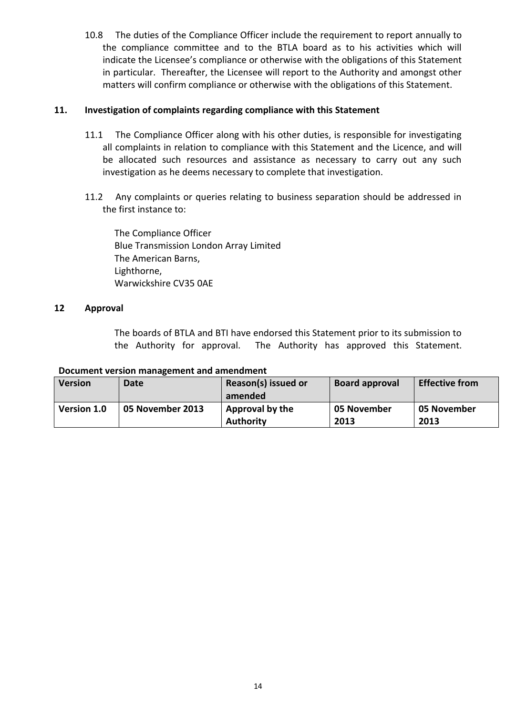10.8 The duties of the Compliance Officer include the requirement to report annually to the compliance committee and to the BTLA board as to his activities which will indicate the Licensee's compliance or otherwise with the obligations of this Statement in particular. Thereafter, the Licensee will report to the Authority and amongst other matters will confirm compliance or otherwise with the obligations of this Statement.

### **11. Investigation of complaints regarding compliance with this Statement**

- 11.1 The Compliance Officer along with his other duties, is responsible for investigating all complaints in relation to compliance with this Statement and the Licence, and will be allocated such resources and assistance as necessary to carry out any such investigation as he deems necessary to complete that investigation.
- 11.2 Any complaints or queries relating to business separation should be addressed in the first instance to:

The Compliance Officer Blue Transmission London Array Limited The American Barns, Lighthorne, Warwickshire CV35 0AE

### **12 Approval**

The boards of BTLA and BTI have endorsed this Statement prior to its submission to the Authority for approval. The Authority has approved this Statement.

| <b>Version</b>     | Date             | Reason(s) issued or<br>amended      | <b>Board approval</b> | <b>Effective from</b> |
|--------------------|------------------|-------------------------------------|-----------------------|-----------------------|
| <b>Version 1.0</b> | 05 November 2013 | Approval by the<br><b>Authority</b> | 05 November<br>2013   | 05 November<br>2013   |

### **Document version management and amendment**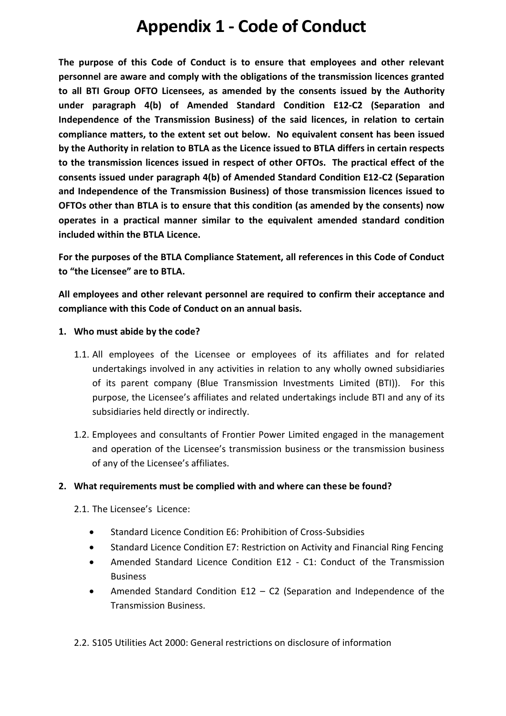**The purpose of this Code of Conduct is to ensure that employees and other relevant personnel are aware and comply with the obligations of the transmission licences granted to all BTI Group OFTO Licensees, as amended by the consents issued by the Authority under paragraph 4(b) of Amended Standard Condition E12-C2 (Separation and Independence of the Transmission Business) of the said licences, in relation to certain compliance matters, to the extent set out below. No equivalent consent has been issued by the Authority in relation to BTLA as the Licence issued to BTLA differs in certain respects to the transmission licences issued in respect of other OFTOs. The practical effect of the consents issued under paragraph 4(b) of Amended Standard Condition E12-C2 (Separation and Independence of the Transmission Business) of those transmission licences issued to OFTOs other than BTLA is to ensure that this condition (as amended by the consents) now operates in a practical manner similar to the equivalent amended standard condition included within the BTLA Licence.** 

**For the purposes of the BTLA Compliance Statement, all references in this Code of Conduct to "the Licensee" are to BTLA.** 

**All employees and other relevant personnel are required to confirm their acceptance and compliance with this Code of Conduct on an annual basis.** 

- **1. Who must abide by the code?**
	- 1.1. All employees of the Licensee or employees of its affiliates and for related undertakings involved in any activities in relation to any wholly owned subsidiaries of its parent company (Blue Transmission Investments Limited (BTI)). For this purpose, the Licensee's affiliates and related undertakings include BTI and any of its subsidiaries held directly or indirectly.
	- 1.2. Employees and consultants of Frontier Power Limited engaged in the management and operation of the Licensee's transmission business or the transmission business of any of the Licensee's affiliates.

### **2. What requirements must be complied with and where can these be found?**

- 2.1. The Licensee's Licence:
	- Standard Licence Condition E6: Prohibition of Cross-Subsidies
	- Standard Licence Condition E7: Restriction on Activity and Financial Ring Fencing
	- Amended Standard Licence Condition E12 C1: Conduct of the Transmission Business
	- Amended Standard Condition E12 C2 (Separation and Independence of the Transmission Business.
- 2.2. S105 Utilities Act 2000: General restrictions on disclosure of information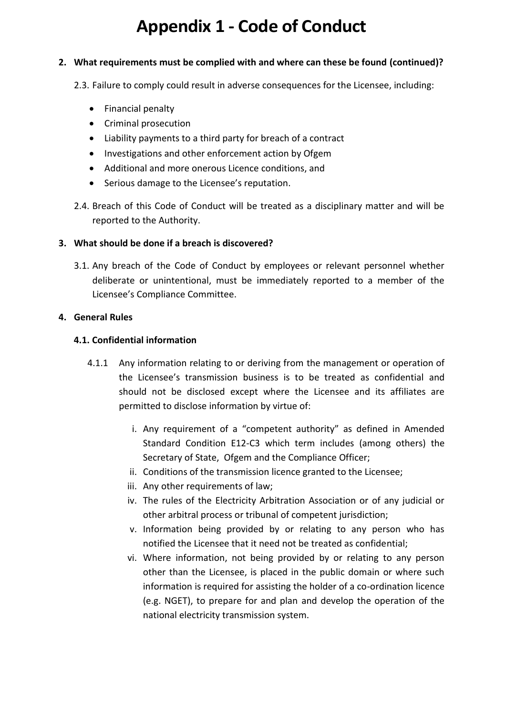### **2. What requirements must be complied with and where can these be found (continued)?**

2.3. Failure to comply could result in adverse consequences for the Licensee, including:

- Financial penalty
- Criminal prosecution
- Liability payments to a third party for breach of a contract
- Investigations and other enforcement action by Ofgem
- Additional and more onerous Licence conditions, and
- Serious damage to the Licensee's reputation.
- 2.4. Breach of this Code of Conduct will be treated as a disciplinary matter and will be reported to the Authority.

### **3. What should be done if a breach is discovered?**

3.1. Any breach of the Code of Conduct by employees or relevant personnel whether deliberate or unintentional, must be immediately reported to a member of the Licensee's Compliance Committee.

### **4. General Rules**

### **4.1. Confidential information**

- 4.1.1 Any information relating to or deriving from the management or operation of the Licensee's transmission business is to be treated as confidential and should not be disclosed except where the Licensee and its affiliates are permitted to disclose information by virtue of:
	- i. Any requirement of a "competent authority" as defined in Amended Standard Condition E12-C3 which term includes (among others) the Secretary of State, Ofgem and the Compliance Officer;
	- ii. Conditions of the transmission licence granted to the Licensee;
	- iii. Any other requirements of law;
	- iv. The rules of the Electricity Arbitration Association or of any judicial or other arbitral process or tribunal of competent jurisdiction;
	- v. Information being provided by or relating to any person who has notified the Licensee that it need not be treated as confidential;
	- vi. Where information, not being provided by or relating to any person other than the Licensee, is placed in the public domain or where such information is required for assisting the holder of a co-ordination licence (e.g. NGET), to prepare for and plan and develop the operation of the national electricity transmission system.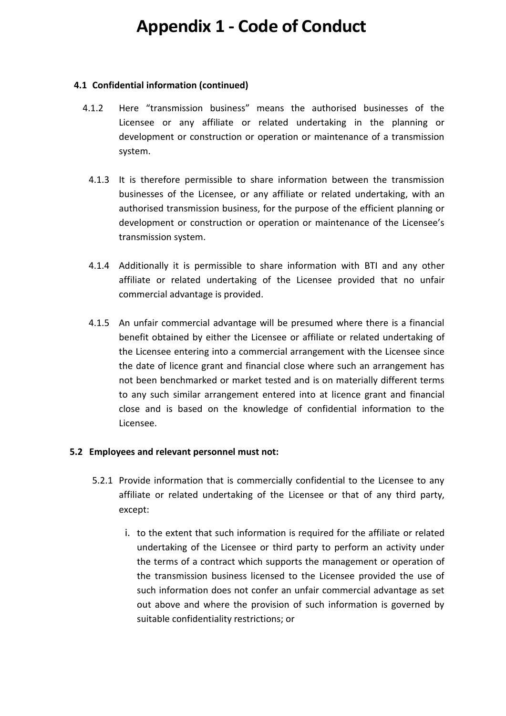### **4.1 Confidential information (continued)**

- 4.1.2 Here "transmission business" means the authorised businesses of the Licensee or any affiliate or related undertaking in the planning or development or construction or operation or maintenance of a transmission system.
- 4.1.3 It is therefore permissible to share information between the transmission businesses of the Licensee, or any affiliate or related undertaking, with an authorised transmission business, for the purpose of the efficient planning or development or construction or operation or maintenance of the Licensee's transmission system.
- 4.1.4 Additionally it is permissible to share information with BTI and any other affiliate or related undertaking of the Licensee provided that no unfair commercial advantage is provided.
- 4.1.5 An unfair commercial advantage will be presumed where there is a financial benefit obtained by either the Licensee or affiliate or related undertaking of the Licensee entering into a commercial arrangement with the Licensee since the date of licence grant and financial close where such an arrangement has not been benchmarked or market tested and is on materially different terms to any such similar arrangement entered into at licence grant and financial close and is based on the knowledge of confidential information to the Licensee.

### **5.2 Employees and relevant personnel must not:**

- 5.2.1 Provide information that is commercially confidential to the Licensee to any affiliate or related undertaking of the Licensee or that of any third party, except:
	- i. to the extent that such information is required for the affiliate or related undertaking of the Licensee or third party to perform an activity under the terms of a contract which supports the management or operation of the transmission business licensed to the Licensee provided the use of such information does not confer an unfair commercial advantage as set out above and where the provision of such information is governed by suitable confidentiality restrictions; or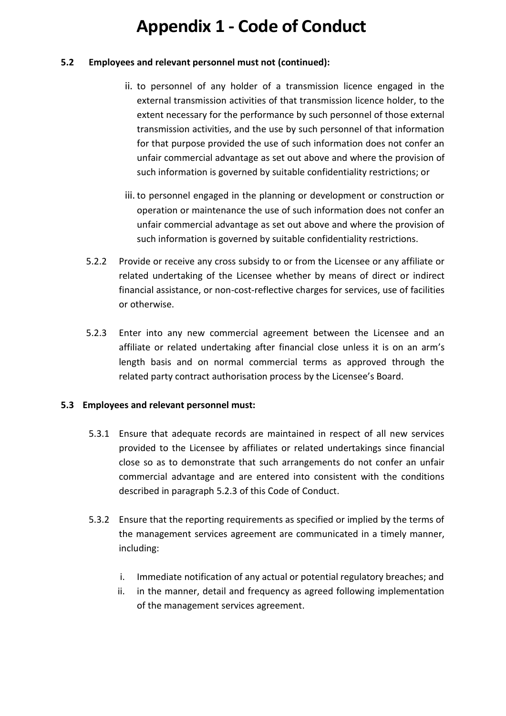### **5.2 Employees and relevant personnel must not (continued):**

- ii. to personnel of any holder of a transmission licence engaged in the external transmission activities of that transmission licence holder, to the extent necessary for the performance by such personnel of those external transmission activities, and the use by such personnel of that information for that purpose provided the use of such information does not confer an unfair commercial advantage as set out above and where the provision of such information is governed by suitable confidentiality restrictions; or
- iii. to personnel engaged in the planning or development or construction or operation or maintenance the use of such information does not confer an unfair commercial advantage as set out above and where the provision of such information is governed by suitable confidentiality restrictions.
- 5.2.2 Provide or receive any cross subsidy to or from the Licensee or any affiliate or related undertaking of the Licensee whether by means of direct or indirect financial assistance, or non-cost-reflective charges for services, use of facilities or otherwise.
- <span id="page-18-0"></span>5.2.3 Enter into any new commercial agreement between the Licensee and an affiliate or related undertaking after financial close unless it is on an arm's length basis and on normal commercial terms as approved through the related party contract authorisation process by the Licensee's Board.

### **5.3 Employees and relevant personnel must:**

- 5.3.1 Ensure that adequate records are maintained in respect of all new services provided to the Licensee by affiliates or related undertakings since financial close so as to demonstrate that such arrangements do not confer an unfair commercial advantage and are entered into consistent with the conditions described in paragraph [5.2.3](#page-18-0) of this Code of Conduct.
- 5.3.2 Ensure that the reporting requirements as specified or implied by the terms of the management services agreement are communicated in a timely manner, including:
	- i. Immediate notification of any actual or potential regulatory breaches; and
	- ii. in the manner, detail and frequency as agreed following implementation of the management services agreement.